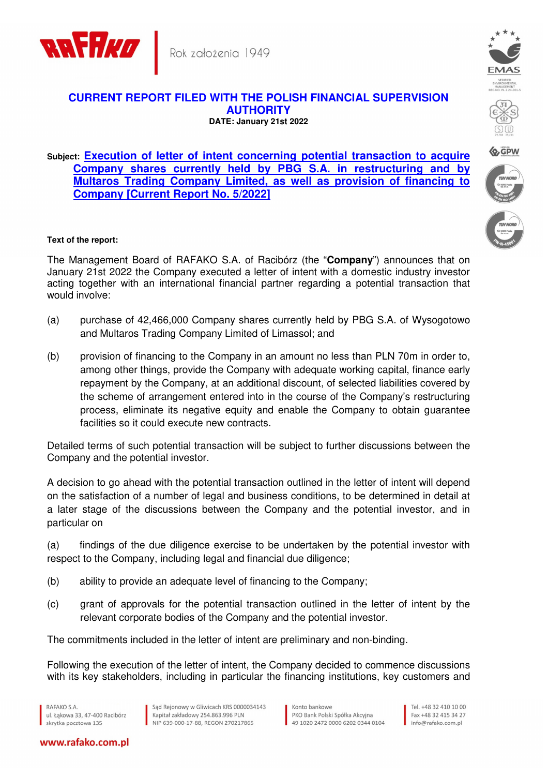



## **CURRENT REPORT FILED WITH THE POLISH FINANCIAL SUPERVISION AUTHORITY DATE: January 21st 2022**

## **Subject: Execution of letter of intent concerning potential transaction to acquire Company shares currently held by PBG S.A. in restructuring and by Multaros Trading Company Limited, as well as provision of financing to Company [Current Report No. 5/2022]**



The Management Board of RAFAKO S.A. of Racibórz (the "**Company**") announces that on January 21st 2022 the Company executed a letter of intent with a domestic industry investor acting together with an international financial partner regarding a potential transaction that would involve:

- (a) purchase of 42,466,000 Company shares currently held by PBG S.A. of Wysogotowo and Multaros Trading Company Limited of Limassol; and
- (b) provision of financing to the Company in an amount no less than PLN 70m in order to, among other things, provide the Company with adequate working capital, finance early repayment by the Company, at an additional discount, of selected liabilities covered by the scheme of arrangement entered into in the course of the Company's restructuring process, eliminate its negative equity and enable the Company to obtain guarantee facilities so it could execute new contracts.

Detailed terms of such potential transaction will be subject to further discussions between the Company and the potential investor.

A decision to go ahead with the potential transaction outlined in the letter of intent will depend on the satisfaction of a number of legal and business conditions, to be determined in detail at a later stage of the discussions between the Company and the potential investor, and in particular on

(a) findings of the due diligence exercise to be undertaken by the potential investor with respect to the Company, including legal and financial due diligence;

- (b) ability to provide an adequate level of financing to the Company;
- (c) grant of approvals for the potential transaction outlined in the letter of intent by the relevant corporate bodies of the Company and the potential investor.

The commitments included in the letter of intent are preliminary and non-binding.

Following the execution of the letter of intent, the Company decided to commence discussions with its key stakeholders, including in particular the financing institutions, key customers and

RAFAKO S.A. ul, Łakowa 33, 47-400 Racibórz skrytka pocztowa 135

www.rafako.com.pl







**Q, GPW**